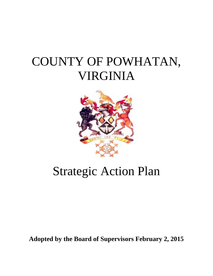# COUNTY OF POWHATAN, VIRGINIA



# Strategic Action Plan

**Adopted by the Board of Supervisors February 2, 2015**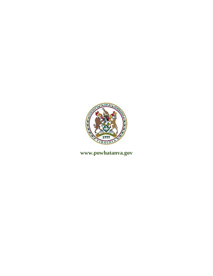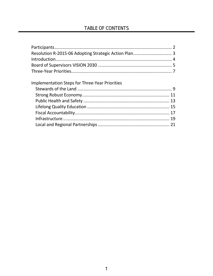### TABLE OF CONTENTS

| <b>Implementation Steps for Three-Year Priorities</b> |  |
|-------------------------------------------------------|--|
|                                                       |  |
|                                                       |  |
|                                                       |  |
|                                                       |  |
|                                                       |  |
|                                                       |  |
|                                                       |  |
|                                                       |  |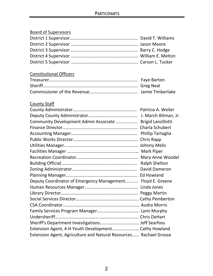### Board of Supervisors

### Constitutional Officers

### County Staff

| Community Development Admin Associate  Brigid Lanzillotti         |                  |
|-------------------------------------------------------------------|------------------|
|                                                                   |                  |
|                                                                   |                  |
|                                                                   | Chris Rapp       |
|                                                                   |                  |
|                                                                   |                  |
|                                                                   | Mary Anne Woodel |
|                                                                   |                  |
|                                                                   |                  |
|                                                                   |                  |
| Deputy Coordinator of Emergency Management Floyd E. Greene        |                  |
|                                                                   |                  |
|                                                                   |                  |
|                                                                   |                  |
|                                                                   |                  |
|                                                                   |                  |
|                                                                   |                  |
|                                                                   |                  |
| Extension Agent, 4-H Youth Development Cathy Howland              |                  |
| Extension Agent, Agriculture and Natural Resources Rachael Grosse |                  |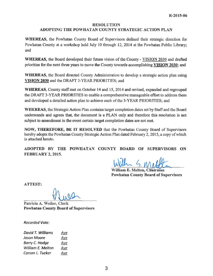### RESOLUTION

#### ADOPTING THE POWHATAN COUNTY STRATEGIC ACTION PLAN

WHEREAS, the Powhatan County Board of Supervisors defined their strategic direction for Powhatan County at a workshop held July 10 through 12, 2014 at the Powhatan Public Library; and

WHEREAS, the Board developed their future vision of the County - VISION 2030 and drafted priorities for the next three years to move the County towards accomplishing VISION 2030; and

WHEREAS, the Board directed County Administration to develop a strategic action plan using VISION 2030 and the DRAFT 3-YEAR PRIORITIES; and

WHEREAS, County staff met on October 14 and 15, 2014 and revised, expanded and regrouped the DRAFT 3-YEAR PRIORITIES to enable a comprehensive manageable effort to address them and developed a detailed action plan to achieve each of the 3-YEAR PRIORITIES; and

WHEREAS, the Strategic Action Plan contains target completion dates set by Staff and the Board understands and agrees that, the document is a PLAN only and therefore this resolution is not subject to amendment in the event certain target completion dates are not met.

NOW, THEREFORE, BE IT RESOLVED that the Powhatan County Board of Supervisors hereby adopts the Powhatan County Strategic Action Plan dated February 2, 2015, a copy of which is attached hereto.

ADOPTED BY THE POWHATAN COUNTY BOARD OF SUPERVISORS ON FEBRUARY 2, 2015.

William E. Melton, Chairman **Powhatan County Board of Supervisors** 

ATTEST:

Patricia A. Weiler, Clerk Powhatan County Board of Supervisors

Recorded Vote:

| David T. Williams | Aye |
|-------------------|-----|
| Jason Moore       | Aye |
| Barry C. Hodge    | Aye |
| William E. Melton | Aye |
| Carson L. Tucker  | Aye |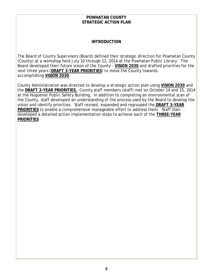#### **POWHATAN COUNTY STRATEGIC ACTION PLAN**

#### **INTRODUCTION**

The Board of County Supervisors (Board) defined their strategic direction for Powhatan County (County) at a workshop held July 10 through 12, 2014 at the Powhatan Public Library. The Board developed their future vision of the County - **VISION 2030** and drafted priorities for the next three years (**DRAFT 3-YEAR PRIORITIES**) to move the County towards accomplishing **VISION 2030**.

County Administration was directed to develop a strategic action plan using **VISION 2030** and the **DRAFT 3-YEAR PRIORITIES.** County staff members (staff) met on October 14 and 15, 2014 at the Huguenot Public Safety Building. In addition to completing an environmental scan of the County, staff developed an understanding of the process used by the Board to develop the vision and identify priorities. Staff revised, expanded and regrouped the **DRAFT 3-YEAR PRIORITIES** to enable a comprehensive manageable effort to address them. Staff then developed a detailed action implementation steps to achieve each of the **THREE-YEAR PRIORITIES**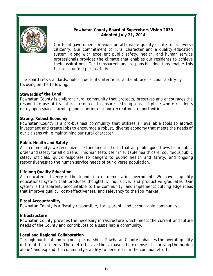

#### **Powhatan County Board of Supervisors Vision 2030 Adopted July 21, 2014**

Our local government provides an attainable quality of life for a diverse citizenry. Our commitment to rural character and a quality education system, along with excellent public safety, health, and human service professionals provides the climate that enables our residents to achieve their aspirations. Our transparent and responsible decisions enable this future to unfold purposefully.

The Board sets standards, holds true to its intentions, and embraces accountability by focusing on the following:

#### **Stewards of the Land**

Powhatan County is a vibrant rural community that protects, preserves and encourages the responsible use of its natural resources to ensure a strong sense of place where residents enjoy open space, farming, and superior outdoor recreational opportunities.

#### **Strong, Robust Economy**

Powhatan County is a pro-business community that utilizes all available tools to attract investment and create jobs to encourage a robust, diverse economy that meets the needs of our citizens while maintaining our rural character.

#### **Public Health and Safety**

As a community, we recognize the fundamental truth that all public good flows from public order and safety for all citizens. This manifests itself in suitable health care, courteous public safety officials, quick responses to dangers to public health and safety, and ongoing responsiveness to the human service needs of our diverse population.

#### **Lifelong Quality Education**

An educated citizenry is the foundation of democratic government. We have a quality educational system that produces thoughtful, inquisitive, and productive graduates. Our system is transparent, accountable to the community, and implements cutting edge ideas that improve quality, cost-effectiveness, and relevancy to the job market.

#### **Fiscal Accountability**

Powhatan County is a fiscally responsible, transparent, and accountable community.

#### **Infrastructure**

Powhatan County provides the necessary infrastructure which meets the current and future needs of the County and contributes to a sustainable community.

#### **Local and Regional Collaboration**

Through our local and regional partnerships, Powhatan County enhances the overall quality of life of its residents. These efforts save the taxpayer the expense of "carrying the burden alone" and expand the community's ability to benefit from the common effort.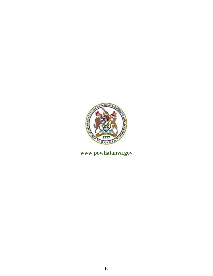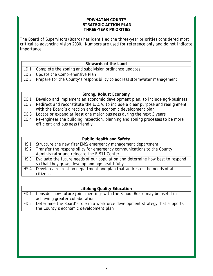#### **POWHATAN COUNTY STRATEGIC ACTION PLAN THREE-YEAR PRIORITIES**

*The Board of Supervisors (Board) has identified the three-year priorities considered most critical to advancing Vision 2030. Numbers are used for reference only and do not indicate importance.* 

| Stewards of the Land |                                                                                   |
|----------------------|-----------------------------------------------------------------------------------|
|                      | LD 1 $\vert$ Complete the zoning and subdivision ordinance updates                |
|                      | LD $2$ Update the Comprehensive Plan                                              |
|                      | LD $3$   Prepare for the County's responsibility to address stormwater management |

|                 | Strong, Robust Economy                                                                 |  |
|-----------------|----------------------------------------------------------------------------------------|--|
| EC 1            | Develop and implement an economic development plan, to include agri-business           |  |
|                 | EC 2   Redirect and reconstitute the E.D.A. to include a clear purpose and realignment |  |
|                 | with the Board's direction and the economic development plan                           |  |
| EC <sub>3</sub> | Locate or expand at least one major business during the next 3 years                   |  |
| EC 4            | Re-engineer the building inspection, planning and zoning processes to be more          |  |
|                 | efficient and business friendly                                                        |  |

|                 | <b>Public Health and Safety</b>                                                      |
|-----------------|--------------------------------------------------------------------------------------|
| HS <sub>1</sub> | Structure the new fire/EMS/emergency management department                           |
|                 | HS 2   Transfer the responsibility for emergency communications to the County        |
|                 | Administrator and relocate the E-911 Center                                          |
|                 | HS 3   Evaluate the future needs of our population and determine how best to respond |
|                 | so that they grow, develop and age healthfully                                       |
| HS <sub>4</sub> | Develop a recreation department and plan that addresses the needs of all             |
|                 | citizens                                                                             |

| <b>Lifelong Quality Education</b>                                                   |
|-------------------------------------------------------------------------------------|
| ED 1   Consider how future joint meetings with the School Board may be useful in    |
| achieving greater collaboration                                                     |
| ED 2   Determine the Board's role in a workforce development strategy that supports |
| the County's economic development plan                                              |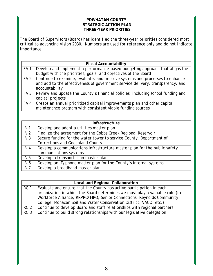#### **POWHATAN COUNTY STRATEGIC ACTION PLAN THREE-YEAR PRIORITIES**

*The Board of Supervisors (Board) has identified the three-year priorities considered most critical to advancing Vision 2030. Numbers are used for reference only and do not indicate importance.*

|                 | <b>Fiscal Accountability</b>                                                       |
|-----------------|------------------------------------------------------------------------------------|
| FA <sub>1</sub> | Develop and implement a performance-based budgeting approach that aligns the       |
|                 | budget with the priorities, goals, and objectives of the Board                     |
|                 | FA 2   Continue to examine, evaluate, and improve systems and processes to enhance |
|                 | and add to the effectiveness of government service delivery, transparency, and     |
|                 | accountability                                                                     |
| FA <sub>3</sub> | Review and update the County's financial policies, including school funding and    |
|                 | capital projects                                                                   |
| FA4             | Create an annual prioritized capital improvements plan and other capital           |
|                 | maintenance program with consistent viable funding sources                         |

|                 | <b>Infrastructure</b>                                                     |
|-----------------|---------------------------------------------------------------------------|
| IN <sub>1</sub> | Develop and adopt a utilities master plan                                 |
| IN <sub>2</sub> | Finalize the agreement for the Cobbs Creek Regional Reservoir             |
| IN <sub>3</sub> | Secure funding for the water tower to service County, Department of       |
|                 | <b>Corrections and Goochland County</b>                                   |
| IN <sub>4</sub> | Develop a communications infrastructure master plan for the public safety |
|                 | communications systems                                                    |
| IN <sub>5</sub> | Develop a transportation master plan                                      |
| IN <sub>6</sub> | Develop an IT/phone master plan for the County's internal systems         |
| IN <sub>7</sub> | Develop a broadband master plan                                           |

|                 | <b>Local and Regional Collaboration</b>                                       |  |
|-----------------|-------------------------------------------------------------------------------|--|
| RC <sub>1</sub> | Evaluate and ensure that the County has active participation in each          |  |
|                 | organization in which the Board determines we must play a valuable role (i.e. |  |
|                 | Workforce Alliance, RRPPC/MPO, Senior Connections, Reynolds Community         |  |
|                 | College, Monacan Soil and Water Conservation District, VACO, etc.)            |  |
| RC <sub>2</sub> | Continue to develop Board and staff relationships with regional partners      |  |
| RC <sub>3</sub> | Continue to build strong relationships with our legislative delegation        |  |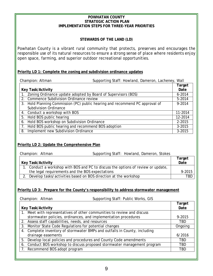#### **POWHATAN COUNTY STRATEGIC ACTION PLAN IMPLEMENTATION STEPS FOR THREE-YEAR PRIORITIES**

#### **STEWARDS OF THE LAND (LD)**

Powhatan County is a vibrant rural community that protects, preserves and encourages the responsible use of its natural resources to ensure a strong sense of place where residents enjoy open space, farming, and superior outdoor recreational opportunities.

#### **Priority LD 1: Complete the zoning and subdivision ordinance updates**

| Supporting Staff: Howland, Dameron, Lacheney, Wall<br>Champion: Altman |                                                                              |            |
|------------------------------------------------------------------------|------------------------------------------------------------------------------|------------|
|                                                                        |                                                                              | Target     |
| <b>Key Task/Activity</b>                                               |                                                                              | Date       |
| Zoning Ordinance update adopted by Board of Supervisors (BOS)          |                                                                              | $6 - 2014$ |
| Commence Subdivision Ordinance review<br>2.                            |                                                                              | 5-2014     |
|                                                                        | 3. Hold Planning Commission (PC) public hearing and recommend PC approval of | 9-2014     |
| <b>Subdivision Ordinance</b>                                           |                                                                              |            |
| 4. Conduct a workshop with BOS                                         |                                                                              | 11-2014    |
| 5. Hold BOS public hearing                                             |                                                                              | 12-2014    |
| Hold BOS workshop on Subdivision Ordinance<br>6.                       |                                                                              | 2-2015     |
| 7. Hold BOS public hearing and recommend BOS adoption                  |                                                                              | $3 - 2015$ |
| Implement new Subdivision Ordinance<br>8.                              |                                                                              | $3 - 2015$ |

#### **Priority LD 2: Update the Comprehensive Plan**

| Champion: Altman                                                                  | Supporting Staff: Howland, Dameron, Stokes |            |
|-----------------------------------------------------------------------------------|--------------------------------------------|------------|
|                                                                                   |                                            | Target     |
| <b>Key Task/Activity</b>                                                          |                                            | Date       |
| 1. Conduct a workshop with BOS and PC to discuss the options of review or update, |                                            |            |
| the legal requirements and the BOS expectations                                   |                                            | 9-2015     |
| Develop tasks/activities based on BOS direction at the workshop                   |                                            | <b>TBD</b> |

#### **Priority LD 3: Prepare for the County's responsibility to address stormwater management**

Champion: Altman Supporting Staff: Public Works, GIS

|                                                                            | Target     |
|----------------------------------------------------------------------------|------------|
| <b>Key Task/Activity</b>                                                   | Date       |
| 1. Meet with representatives of other communities to review and discuss    |            |
| stormwater policies, ordinances, and implementation procedures             | 9-2015     |
| 2. Assess staff capabilities, needs, and resources                         | <b>TBD</b> |
| 3. Monitor State Code Regulations for potential changes                    | Ongoing    |
| 4. Complete inventory of stormwater BMPs and outfalls in County, including |            |
| drainage easements                                                         | 6/2016     |
| 5. Develop local policies and procedures and County Code amendments        | TBD        |
| 6. Conduct BOS workshop to discuss proposed stormwater management program  | TBD        |
| 7. Recommend BOS adopt program                                             | TBD        |
|                                                                            |            |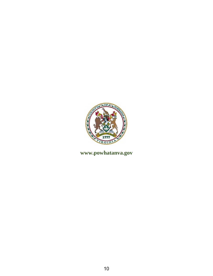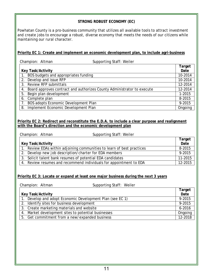#### **STRONG ROBUST ECONOMY (EC)**

Powhatan County is a pro-business community that utilizes all available tools to attract investment and create jobs to encourage a robust, diverse economy that meets the needs of our citizens while maintaining our rural character.

#### **Priority EC 1: Create and implement an economic development plan, to include agri-business**

|    | Supporting Staff: Weiler<br>Champion: Altman                           |            |
|----|------------------------------------------------------------------------|------------|
|    |                                                                        | Target     |
|    | <b>Key Task/Activity</b>                                               | Date       |
| 1. | BOS budgets and appropriates funding                                   | 10-2014    |
| 2. | Develop and issue RFP                                                  | 10-2014    |
| 3. | <b>Review RFP submittals</b>                                           | 12-2014    |
| 4. | Board approves contract and authorizes County Administrator to execute | 12-2014    |
| 5. | Begin plan development                                                 | $1 - 2015$ |
| 6. | Complete plan                                                          | 8-2015     |
| 7. | BOS adopts Economic Development Plan                                   | 9-2015     |
| 8. | Implement Economic Development Plan                                    | Ongoing    |

#### **Priority EC 2: Redirect and reconstitute the E.D.A. to include a clear purpose and realignment with the Board's direction and the economic development plan**

| Champion: Altman                                       | Supporting Staff: Weiler                                               |                |
|--------------------------------------------------------|------------------------------------------------------------------------|----------------|
| <b>Key Task/Activity</b>                               |                                                                        | Target<br>Date |
|                                                        | 1. Review EDAs within adjoining communities to learn of best practices | 8-2015         |
| 2. Develop new job description/charter for EDA members |                                                                        | 9-2015         |
|                                                        | 3. Solicit talent bank resumes of potential EDA candidates             | 11-2015        |
|                                                        | 4. Review resumes and recommend individuals for appointment to EDA     | 12-2015        |

#### **Priority EC 3: Locate or expand at least one major business during the next 3 years**

Champion: Altman Supporting Staff: Weiler **Key Task/Activity Target Date** 1. Develop and adopt Economic Development Plan (see EC 1) 9-2015 2. Identify sites for business development<br>
3. Create marketing materials and website<br>
9-2016 3. Create marketing materials and website 4. Market development sites to potential businesses and a state of congoing on proportional congoing 5. Get commitment from a new/expanded business 12-2018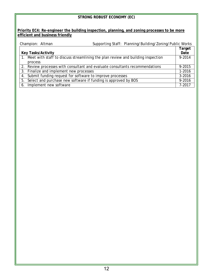#### **STRONG ROBUST ECONOMY (EC)**

#### **Priority EC4: Re-engineer the building inspection, planning, and zoning processes to be more efficient and business friendly**

| Supporting Staff: Planning/Building/Zoning/Public Works<br>Champion: Altman        |        |
|------------------------------------------------------------------------------------|--------|
|                                                                                    | Target |
| <b>Key Tasks/Activity</b>                                                          | Date   |
| 1. Meet with staff to discuss streamlining the plan review and building inspection | 9-2014 |
| process                                                                            |        |
| 2. Review processes with consultant and evaluate consultants recommendations       | 9-2015 |
| 3. Finalize and implement new processes                                            | 1-2016 |
| 4. Submit funding request for software to improve processes                        | 3-2016 |
| Select and purchase new software if funding is approved by BOS<br>5.               | 9-2016 |
| 6. Implement new software                                                          | 7-2017 |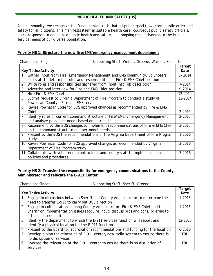#### **PUBLIC HEALTH AND SAFETY (HS)**

As a community, we recognize the fundamental truth that all public good flows from public order and safety for all citizens. This manifests itself in suitable health care, courteous public safety officials, quick responses to dangers to public health and safety, and ongoing responsiveness to the human service needs of our diverse population.

#### **Priority HS 1: Structure the new fire/EMS/emergency management department**

|    | Champion: Singer          | Supporting Staff: Weiler, Greene, Warner, Schoeffel                                  |            |
|----|---------------------------|--------------------------------------------------------------------------------------|------------|
|    |                           |                                                                                      | Target     |
|    | <b>Key Tasks/Activity</b> |                                                                                      | Date       |
|    |                           | 1. Gather input from Fire, Emergency Management and EMS community, volunteers,       | $5 - 2014$ |
|    |                           | and staff to determine roles and responsibilities of Fire & EMS Chief position       |            |
| 2. |                           | Write roles and responsibilities gathered from input into job description            | 7-2014     |
| 3. |                           | Advertise and interview for Fire and EMS Chief position                              | 9-2014     |
| 4. | Hire Fire & EMS Chief     |                                                                                      | 12-2014    |
| 5. |                           | Submit request to Virginia Department of Fire Program to conduct a study of          | 12-2014    |
|    |                           | Powhatan County's Fire and EMS services                                              |            |
|    |                           | 6. Revise Powhatan Code for BOS approved changes as recommended by Fire & EMS        |            |
|    | Chief                     |                                                                                      | 2-2015     |
| 7. |                           | Identify roles of current command structure of Fire/EMS/Emergency Management         | 2-2015     |
|    |                           | and analyze personnel needs based on current budget                                  |            |
|    |                           | 8. Recommend to the BOS changes to implement recommendations of Fire & EMS Chief     | 3-2015     |
|    |                           | on the command structure and personnel needs                                         |            |
|    |                           | 9. Present to the BOS the recommendations of the Virginia Department of Fire Program | 1-2016     |
|    | study                     |                                                                                      |            |
|    |                           | 10. Revise Powhatan Code for BOS approved changes as recommended by Virginia         | 3-2016     |
|    |                           | Department of Fire Program study                                                     |            |
|    |                           | 11. Collaborate with volunteers, contractors, and county staff to implement plan,    | 3-2016     |
|    | policies and procedures   |                                                                                      |            |

#### **Priority HS 2: Transfer the responsibility for emergency communications to the County Administrator and relocate the E-911 Center**

|    | Champion: Singer                                    | Supporting Staff: Sheriff, Greene                                                                                                                                       |                |
|----|-----------------------------------------------------|-------------------------------------------------------------------------------------------------------------------------------------------------------------------------|----------------|
|    | <b>Key Tasks/Activity</b>                           |                                                                                                                                                                         | Target<br>Date |
|    | need to transfer E-911 to carry out BOS direction   | 1. Engage in discussions between Sheriff and County Administrator to determine the                                                                                      | 1-2015         |
|    | officials as needed)                                | 2. Engage in collaborations among County Administrator, Fire & EMS Chief and the<br>Sheriff on implementation issues (acquire input, discuss pros and cons, briefing to | 1-2015         |
|    | identify a physical location for the E-911 function | 3. Identify the department to which the E-911 services function will report and                                                                                         | 12-2015        |
| 4. |                                                     | Present to the Board for approval of recommendations and funding for the location                                                                                       | $6 - 2016$     |
| 5. | no disruption of services                           | Develop a plan for relocation of E-911 center/new radio system to ensure there is                                                                                       | <b>TBD</b>     |
| 6. | services                                            | Oversee the relocation of the E-911 center to ensure there is no disruption of                                                                                          | <b>TBD</b>     |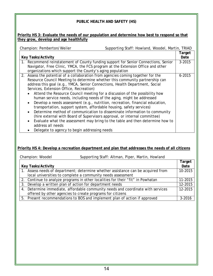#### **PUBLIC HEALTH AND SAFETY (HS)**

#### **Priority HS 3: Evaluate the needs of our population and determine how best to respond so that they grow, develop and age healthfully**

Champion: Pemberton/Weiler Supporting Staff: Howland, Woodel, Martin, TRIAD

|                                                                                            | Target     |
|--------------------------------------------------------------------------------------------|------------|
| <b>Key Tasks/Activity</b>                                                                  | Date       |
| 1. Recommend reinstatement of County funding support for Senior Connections, Senior        | $3 - 2015$ |
| Navigator, Free Clinic, YMCA, the FCS program at the Extension Office and other            |            |
| organizations which support the County's aging population                                  |            |
| 2. Assess the potential of a collaboration from agencies coming together for the           | $6 - 2015$ |
| Resource Council Meeting to determine whether this community partnership can               |            |
| address this goal (e.g., YMCA, Senior Connections, Health Department, Social               |            |
| Services, Extension Office, Recreation)                                                    |            |
| Attend the Resource Council meeting for a discussion of the possibility how<br>$\bullet$   |            |
| human service needs, including needs of the aging, might be addressed                      |            |
| Develop a needs assessment (e.g., nutrition, recreation, financial education,<br>$\bullet$ |            |
| transportation, support system, affordable housing, safety services)                       |            |
| Determine method of communication to disseminate information to community<br>$\bullet$     |            |
| (hire external with Board of Supervisors approval, or internal committee)                  |            |
| Evaluate what the assessment may bring to the table and then determine how to<br>$\bullet$ |            |
| address all needs                                                                          |            |

• Delegate to agency to begin addressing needs

#### **Priority HS 4: Develop a recreation department and plan that addresses the needs of all citizens**

#### Champion: Woodel Supporting Staff: Altman, Piper, Martin, Howland

|                                                                                  | Target     |
|----------------------------------------------------------------------------------|------------|
| <b>Key Tasks/Activity</b>                                                        | Date       |
| 1. Assess needs of department; determine whether assistance can be acquired from | 10-2015    |
| local universities to complete a community needs assessment                      |            |
| 2. Continue to analyze programs in other localities for their "fit" in Powhatan  | 11-2015    |
| 3. Develop a written plan of action for department needs                         | 12-2015    |
| 4. Determine immediate, affordable community needs and coordinate with services  | 12-2015    |
| offered by other agencies to create programs for citizens                        |            |
| 5. Present recommendations to BOS and implement plan of action if approved       | $3 - 2016$ |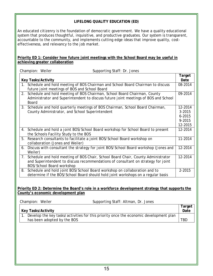#### **LIFELONG QUALITY EDUCATION (ED)**

An educated citizenry is the foundation of democratic government. We have a quality educational system that produces thoughtful, inquisitive, and productive graduates. Our system is transparent, accountable to the community, and implements cutting edge ideas that improve quality, costeffectiveness, and relevancy to the job market.

#### **Priority ED 1: Consider how future joint meetings with the School Board may be useful in achieving greater collaboration**

|    | Champion: Weiler          | Supporting Staff: Dr. Jones                                                                                                                                           |                                                      |
|----|---------------------------|-----------------------------------------------------------------------------------------------------------------------------------------------------------------------|------------------------------------------------------|
|    | <b>Key Tasks/Activity</b> |                                                                                                                                                                       | Target<br>Date                                       |
|    |                           | 1. Schedule and hold meeting of BOS Chairman and School Board Chairman to discuss<br>future joint meetings of BOS and School Board                                    | 08-2014                                              |
| 2. | <b>Board</b>              | Schedule and hold meeting of BOS Chairman, School Board Chairman, County<br>Administrator and Superintendent to discuss future joint meetings of BOS and School       | 09-2014                                              |
|    |                           | 3. Schedule and hold quarterly meetings of BOS Chairman, School Board Chairman,<br>County Administrator, and School Superintendent                                    | 12-2014<br>3-2015<br>$6 - 2015$<br>9-2015<br>12-2015 |
| 4. |                           | Schedule and hold a joint BOS/School Board workshop for School Board to present<br>the Schools Facility Study to the BOS                                              | 12-2014                                              |
| 5. |                           | Research consultants to facilitate a joint BOS/School Board workshop on<br>collaboration (Jones and Weiler)                                                           | 11-2014                                              |
| 6. | Weiler)                   | Discuss with consultant the strategy for joint BOS/School Board workshop (Jones and                                                                                   | 12-2014                                              |
| 7. | BOS/School Board workshop | Schedule and hold meeting of BOS Chair, School Board Chair, County Administrator<br>and Superintendent to discuss recommendations of consultant on strategy for joint | 12-2014                                              |
| 8. |                           | Schedule and hold joint BOS/School Board workshop on collaboration and to<br>determine if the BOS/School Board should hold joint workshops on a regular basis         | 2-2015                                               |

#### **Priority ED 2: Determine the Board's role in a workforce development strategy that supports the County's economic development plan**

| Supporting Staff: Altman, Dr. Jones<br>Champion: Weiler                               |        |
|---------------------------------------------------------------------------------------|--------|
|                                                                                       | Target |
| <b>Key Tasks/Activity</b>                                                             | Date   |
| Develop the key tasks/activities for this priority once the economic development plan |        |
| has been adopted by the BOS                                                           | TBD    |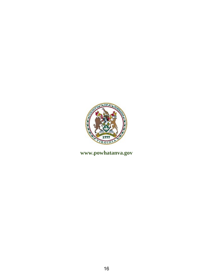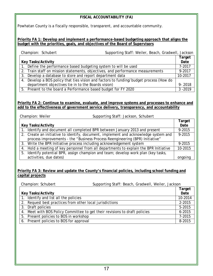#### **FISCAL ACCOUNTABILITY (FA)**

Powhatan County is a fiscally responsible, transparent, and accountable community.

#### **Priority FA 1: Develop and implement a performance-based budgeting approach that aligns the budget with the priorities, goals, and objectives of the Board of Supervisors**

| Supporting Staff: Weiler, Beach, Gradwell, Jackson<br>Champion: Schubert |                                                                                        |            |  |
|--------------------------------------------------------------------------|----------------------------------------------------------------------------------------|------------|--|
|                                                                          |                                                                                        | Target     |  |
|                                                                          | <b>Key Tasks/Activity</b>                                                              |            |  |
|                                                                          | 1. Define the performance based budgeting system to will be used                       | 7-2017     |  |
|                                                                          | 2. Train staff on mission statements, objectives, and performance measurements         | 9-2017     |  |
|                                                                          | 3. Develop a database to store and report department data                              | 10-2017    |  |
|                                                                          | 4. Develop a BOS policy that ties vision and factors to funding/budget process (How do |            |  |
|                                                                          | department objectives tie in to the Boards vision)                                     | $9 - 2018$ |  |
|                                                                          | 5. Present to the board a Performance based budget for FY 2020                         | $3 - 2019$ |  |

#### **Priority FA 2: Continue to examine, evaluate, and improve systems and processes to enhance and add to the effectiveness of government service delivery, transparency, and accountability**

| Champion: Weiler          | Supporting Staff: Jackson, Schubert                                                   |         |
|---------------------------|---------------------------------------------------------------------------------------|---------|
|                           |                                                                                       | Target  |
| <b>Key Tasks/Activity</b> |                                                                                       |         |
|                           | 1. Identify and document all completed BPR between January 2013 and present           | 9-2015  |
|                           | 2. Create an initiative to identify, document, implement and acknowledge system and   | 9-2015  |
|                           | process improvements - the "Business Process Reengineering (BPR) Initiative"          |         |
|                           | 3. Write the BPR Initiative process including acknowledgement system                  | 9-2015  |
|                           | 4. Hold a meeting of key personnel from all departments to explain the BPR Initiative | 10-2015 |
|                           | 5. Identify potential BPR, assign champion and team; develop work plan (key tasks,    |         |
| activities, due dates)    |                                                                                       | ongoing |

#### **Priority FA 3: Review and update the County's financial policies, including school funding and capital projects**

| Champion: Schubert                                                         | Supporting Staff: Beach, Gradwell, Weiler, Jackson |            |
|----------------------------------------------------------------------------|----------------------------------------------------|------------|
|                                                                            |                                                    | Target     |
| <b>Key Tasks/Activity</b>                                                  |                                                    |            |
| 1. Identify and list all the policies                                      |                                                    | 10-2014    |
| 2. Request best practices from other local jurisdictions                   |                                                    |            |
| 3. Draft policies                                                          |                                                    | 5-2015     |
| 4. Meet with BOS Policy Committee to get their revisions to draft policies |                                                    | $6 - 2015$ |
| 5. Present policies to BOS in workshop                                     |                                                    | 7-2015     |
| 6. Present policies to BOS for approval                                    |                                                    | 8-2015     |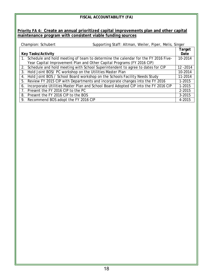| FISCAL ACCOUNTABILITY (FA)                                                                |           |  |
|-------------------------------------------------------------------------------------------|-----------|--|
|                                                                                           |           |  |
| Priority FA 4: Create an annual prioritized capital improvements plan and other capital   |           |  |
|                                                                                           |           |  |
| maintenance program with consistent viable funding sources                                |           |  |
| Supporting Staff: Altman, Weiler, Piper, Melis, Singer<br>Champion: Schubert              |           |  |
|                                                                                           | Target    |  |
| <b>Key Tasks/Activity</b>                                                                 | Date      |  |
| Schedule and hold meeting of team to determine the calendar for the FY 2016 Five-<br>1.   | 10-2014   |  |
| Year Capital Improvement Plan and Other Capital Programs (FY 2016 CIP)                    |           |  |
| Schedule and hold meeting with School Superintendent to agree to dates for CIP<br>2.      | 12 - 2014 |  |
| Hold Joint BOS/ PC workshop on the Utilities Master Plan<br>3.                            | 10-2014   |  |
| Hold Joint BOS / School Board workshop on the Schools Facility Needs Study<br>4.          | 11-2014   |  |
| Review FY 2015 CIP with Departments and incorporate changes into the FY 2016<br>5.        | 1-2015    |  |
| Incorporate Utilities Master Plan and School Board Adopted CIP into the FY 2016 CIP<br>6. | 1-2015    |  |
| Present the FY 2016 CIP to the PC<br>7 <sup>7</sup>                                       | 2-2015    |  |
| Present the FY 2016 CIP to the BOS<br>8.                                                  | 3-2015    |  |
| Recommend BOS adopt the FY 2016 CIP<br>9.                                                 | 4-2015    |  |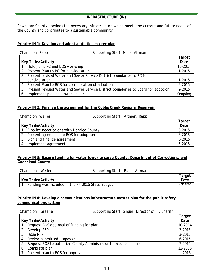| <b>INFRASTRUCTURE (IN)</b>                                                                                                                                                                 |                |  |  |
|--------------------------------------------------------------------------------------------------------------------------------------------------------------------------------------------|----------------|--|--|
| Powhatan County provides the necessary infrastructure which meets the current and future needs of<br>the County and contributes to a sustainable community.                                |                |  |  |
| Priority IN 1: Develop and adopt a utilities master plan                                                                                                                                   |                |  |  |
| Champion: Rapp<br>Supporting Staff: Melis, Altman                                                                                                                                          |                |  |  |
|                                                                                                                                                                                            | Target         |  |  |
| <b>Key Tasks/Activity</b>                                                                                                                                                                  | Date           |  |  |
| 1. Hold Joint PC and BOS workshop<br>2. Present Plan to PC for consideration                                                                                                               | 10-2014        |  |  |
| 3. Present revised Water and Sewer Service District boundaries to PC for                                                                                                                   | 1-2015         |  |  |
| consideration                                                                                                                                                                              | 1-2015         |  |  |
| 4. Present Plan to BOS for consideration of adoption                                                                                                                                       | 2-2015         |  |  |
| 5. Present revised Water and Sewer Service District boundaries to Board for adoption                                                                                                       | 2-2015         |  |  |
| 6. Implement plan as growth occurs                                                                                                                                                         | Ongoing        |  |  |
| Priority IN 2: Finalize the agreement for the Cobbs Creek Regional Reservoir<br>Champion: Weiler<br>Supporting Staff: Altman, Rapp                                                         |                |  |  |
|                                                                                                                                                                                            | Target         |  |  |
| Key Tasks/Activity                                                                                                                                                                         | Date<br>5-2015 |  |  |
| 1. Finalize negotiations with Henrico County<br>Present agreement to BOS for adoption<br>2.                                                                                                | $6 - 2015$     |  |  |
| Sign and finalize agreement<br>3.                                                                                                                                                          | $6 - 2015$     |  |  |
| Implement agreement<br>4.                                                                                                                                                                  | $6 - 2015$     |  |  |
| <b>Priority IN 3: Secure funding for water tower to serve County, Department of Corrections, and</b><br><b>Goochland County</b><br>Champion: Weiler<br>Supporting Staff: Rapp, Altman      |                |  |  |
| Key Tasks/Activity                                                                                                                                                                         | Target<br>Date |  |  |
| Funding was included in the FY 2015 State Budget<br>1 <sub>1</sub>                                                                                                                         | Complete       |  |  |
| Priority IN 4: Develop a communications infrastructure master plan for the public safety<br>communications system<br>Champion: Greene<br>Supporting Staff: Singer, Director of IT, Sheriff | Target         |  |  |
| <b>Key Tasks/Activity</b>                                                                                                                                                                  | Date           |  |  |
| Request BOS approval of funding for plan                                                                                                                                                   | 10-2014        |  |  |
| Develop RFP<br>2.                                                                                                                                                                          | 2-2015         |  |  |
| 3.<br><b>Issue RFP</b>                                                                                                                                                                     | 3-2015         |  |  |
| Review submitted proposals<br>4.                                                                                                                                                           | $6 - 2015$     |  |  |
| Request BOS to authorize County Administrator to execute contract<br>5.                                                                                                                    | 7-2015         |  |  |
| Complete plan<br>6.                                                                                                                                                                        | 12-2015        |  |  |
| Present plan to BOS for approval<br>7.                                                                                                                                                     | 1-2016         |  |  |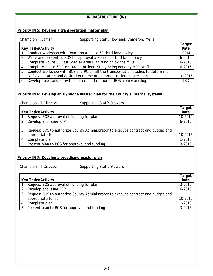| <b>INFRASTRUCTURE (IN)</b>                                                                        |                  |  |
|---------------------------------------------------------------------------------------------------|------------------|--|
|                                                                                                   |                  |  |
| <b>Priority IN 5: Develop a transportation master plan</b>                                        |                  |  |
| Champion: Altman<br>Supporting Staff: Howland, Dameron, Melis                                     |                  |  |
|                                                                                                   | Target           |  |
| <b>Key Tasks/Activity</b>                                                                         | Date             |  |
| Conduct workshop with Board on a Route 60 third lane policy                                       | 2014             |  |
| Write and present to BOS for approval a Route 60 third lane policy<br>2.                          | $6 - 2015$       |  |
| 3. Complete Route 60 East Special Area Plan funding by the MPO                                    | $6 - 2016$       |  |
| 4. Complete Route 60 Rural Area Corridor Study being done by MPO staff                            | $6 - 2016$       |  |
| 5. Conduct workshop with BOS and PC on all the transportation studies to determine                |                  |  |
| BOS expectation and desired outcome of a transportation master plan                               | 10-2016          |  |
| 6. Develop tasks and activities based on direction of BOS from workshop                           | <b>TBD</b>       |  |
|                                                                                                   |                  |  |
|                                                                                                   |                  |  |
| Priority IN 6: Develop an IT/phone master plan for the County's internal systems                  |                  |  |
| Champion: IT Director<br>Supporting Staff: Stowers                                                |                  |  |
|                                                                                                   | Target           |  |
| <b>Key Tasks/Activity</b>                                                                         | Date             |  |
| 1. Request BOS approval of funding for plan                                                       |                  |  |
| 2. Develop and issue RFP                                                                          | $6 - 2015$       |  |
|                                                                                                   |                  |  |
| 3. Request BOS to authorize County Administrator to execute contract and budget and               | 10-2015          |  |
| appropriate funds                                                                                 |                  |  |
| 4. Complete plan<br>5. Present plan to BOS for approval and funding                               |                  |  |
|                                                                                                   | $3 - 2016$       |  |
|                                                                                                   |                  |  |
| Priority IN 7: Develop a broadband master plan                                                    |                  |  |
|                                                                                                   |                  |  |
| Supporting Staff: Stowers<br>Champion: IT Director                                                |                  |  |
|                                                                                                   | Target           |  |
| <b>Key Tasks/Activity</b>                                                                         |                  |  |
| Request BOS approval of funding for plan<br>1.                                                    |                  |  |
| Develop and issue RFP<br>2.                                                                       |                  |  |
| $6 - 2015$<br>3. Request BOS to authorize County Administrator to execute contract and budget and |                  |  |
| appropriate funds<br>10-2015                                                                      |                  |  |
| Complete plan<br>4.                                                                               |                  |  |
| Present plan to BOS for approval and funding<br>5.                                                | 1-2016<br>3-2016 |  |
|                                                                                                   |                  |  |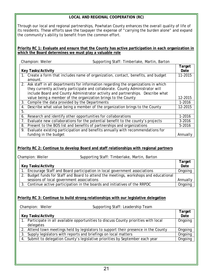#### **LOCAL AND REGIONAL COOPERATION (RC)**

Through our local and regional partnerships, Powhatan County enhances the overall quality of life of its residents. These efforts save the taxpayer the expense of "carrying the burden alone" and expand the community's ability to benefit from the common effort.

#### **Priority RC 1: Evaluate and ensure that the County has active participation in each organization in which the Board determines we must play a valuable role**

| Supporting Staff: Timberlake, Martin, Barton<br>Champion: Weiler |                                                                                      |            |
|------------------------------------------------------------------|--------------------------------------------------------------------------------------|------------|
|                                                                  |                                                                                      | Target     |
| <b>Key Tasks/Activity</b>                                        |                                                                                      | Date       |
| amount.                                                          | 1. Create a form that includes name of organization, contact, benefits, and budget   | 11-2015    |
|                                                                  | 2. Ask staff in all departments for information regarding the organizations in which |            |
|                                                                  | they currently actively participate and collaborate. County Administrator will       |            |
|                                                                  | include Board and County Administrator activity and partnerships. Describe what      |            |
|                                                                  | value being a member of the organization brings to the County                        | 12-2015    |
| 3.                                                               | Compile the data provided by the Departments                                         | 1-2016     |
| 4.                                                               | Describe what value being a member of the organization brings to the County          | 12-2015    |
| 5.                                                               |                                                                                      |            |
| 6.                                                               | Research and identify other opportunities for collaborations                         | 1-2016     |
| 7.                                                               | Evaluate new collaborations for the potential benefit to the county's projects       | $3 - 2016$ |
| 8.                                                               | Present to the BOS list and benefits of partnerships and organizations               | 5-2016     |
| 9.                                                               | Evaluate existing participation and benefits annually with recommendations for       |            |
| funding in the budget                                            |                                                                                      | Annually   |

#### **Priority RC 2: Continue to develop Board and staff relationships with regional partners**

Champion: Weiler Supporting Staff: Timberlake, Martin, Barton

|                                                                                       | Target   |
|---------------------------------------------------------------------------------------|----------|
| <b>Key Tasks/Activity</b>                                                             |          |
| 1. Encourage Staff and Board participation in local government associations           | Ongoing  |
| 2. Budget funds for Staff and Board to attend the meetings, workshops and educational |          |
| sessions of local government associations                                             | Annually |
| 3. Continue active participation in the boards and initiatives of the RRPDC           | Ongoing  |

#### **Priority RC 3: Continue to build strong relationships with our legislative delegation**

| Champion: Weiler          | Supporting Staff: Leadership Team                                                     |                |
|---------------------------|---------------------------------------------------------------------------------------|----------------|
| <b>Key Tasks/Activity</b> |                                                                                       | Target<br>Date |
| delegates                 | 1. Participate in all available opportunities to discuss County priorities with local | Ongoing        |
|                           | 2. Attend town meetings held by legislators to support their presence in the County   | Ongoing        |
|                           | 3. Supply legislators with reports and briefings on local matters                     | Ongoing        |
|                           | 4. Submit to delegation County's legislative priorities by September each year        | Ongoing        |